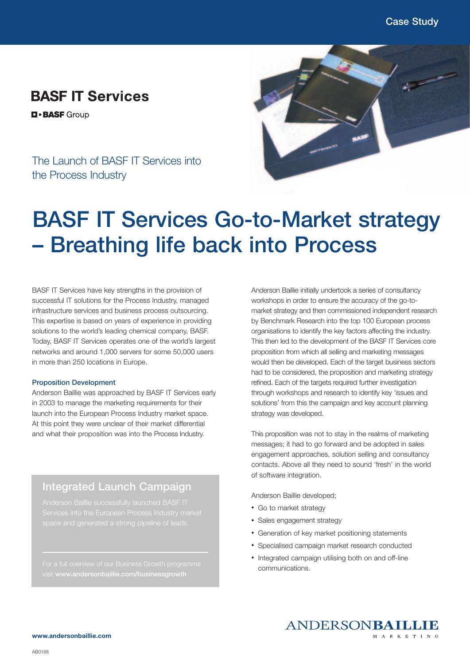## **BASF IT Services**

**D-BASF** Group

The Launch of BASF IT Services into the Process Industry



# **BASF IT Services Go-to-Market strategy – Breathing life back into Process**

BASF IT Services have key strengths in the provision of successful IT solutions for the Process Industry, managed infrastructure services and business process outsourcing. This expertise is based on years of experience in providing solutions to the world's leading chemical company, BASF. Today, BASF IT Services operates one of the world's largest networks and around 1,000 servers for some 50,000 users in more than 250 locations in Europe.

#### **Proposition Development**

Anderson Baillie was approached by BASF IT Services early in 2003 to manage the marketing requirements for their launch into the European Process Industry market space. At this point they were unclear of their market differential and what their proposition was into the Process Industry.

### **Integrated Launch Campaign**

visit **www.andersonbaillie.com/businessgrowth**

Anderson Baillie initially undertook a series of consultancy workshops in order to ensure the accuracy of the go-tomarket strategy and then commissioned independent research by Benchmark Research into the top 100 European process organisations to identify the key factors affecting the industry. This then led to the development of the BASF IT Services core proposition from which all selling and marketing messages would then be developed. Each of the target business sectors had to be considered, the proposition and marketing strategy refined. Each of the targets required further investigation through workshops and research to identify key 'issues and solutions' from this the campaign and key account planning strategy was developed.

This proposition was not to stay in the realms of marketing messages; it had to go forward and be adopted in sales engagement approaches, solution selling and consultancy contacts. Above all they need to sound 'fresh' in the world of software integration.

Anderson Baillie developed;

- Go to market strategy
- Sales engagement strategy
- Generation of key market positioning statements
- Specialised campaign market research conducted
- Integrated campaign utilising both on and off-line communications.